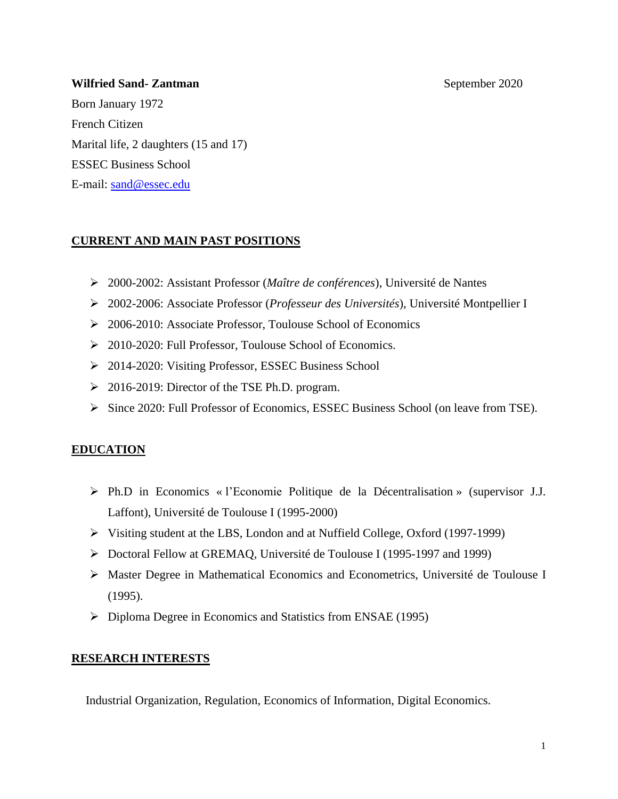## **Wilfried Sand- Zantman** September 2020

Born January 1972 French Citizen Marital life, 2 daughters (15 and 17) ESSEC Business School E-mail: [sand@essec.edu](mailto:sand@essec.edu)

## **CURRENT AND MAIN PAST POSITIONS**

- ➢ 2000-2002: Assistant Professor (*Maître de conférences*), Université de Nantes
- ➢ 2002-2006: Associate Professor (*Professeur des Universités*), Université Montpellier I
- ➢ 2006-2010: Associate Professor, Toulouse School of Economics
- ➢ 2010-2020: Full Professor, Toulouse School of Economics.
- ➢ 2014-2020: Visiting Professor, ESSEC Business School
- ➢ 2016-2019: Director of the TSE Ph.D. program.
- ➢ Since 2020: Full Professor of Economics, ESSEC Business School (on leave from TSE).

# **EDUCATION**

- ➢ Ph.D in Economics « l'Economie Politique de la Décentralisation » (supervisor J.J. Laffont), Université de Toulouse I (1995-2000)
- ➢ Visiting student at the LBS, London and at Nuffield College, Oxford (1997-1999)
- ➢ Doctoral Fellow at GREMAQ, Université de Toulouse I (1995-1997 and 1999)
- ➢ Master Degree in Mathematical Economics and Econometrics, Université de Toulouse I (1995).
- ➢ Diploma Degree in Economics and Statistics from ENSAE (1995)

# **RESEARCH INTERESTS**

Industrial Organization, Regulation, Economics of Information, Digital Economics.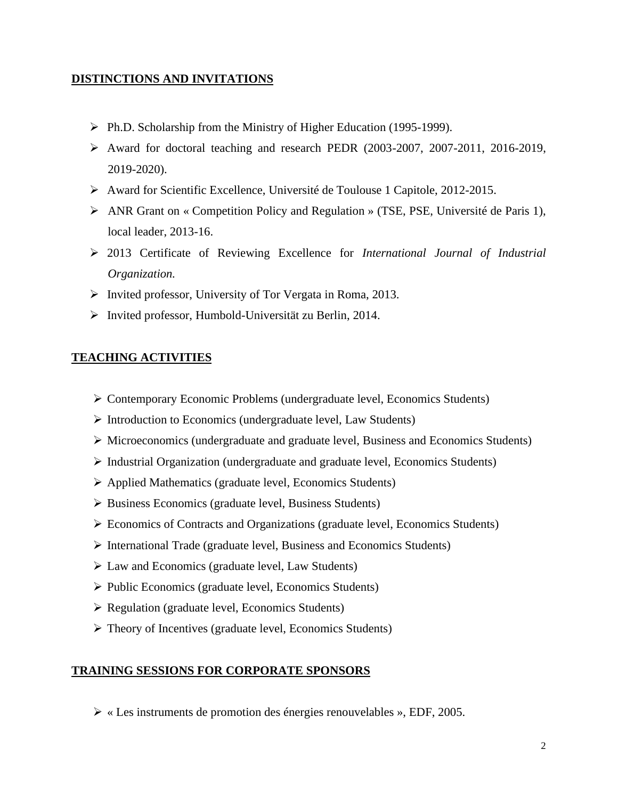## **DISTINCTIONS AND INVITATIONS**

- ➢ Ph.D. Scholarship from the Ministry of Higher Education (1995-1999).
- ➢ Award for doctoral teaching and research PEDR (2003-2007, 2007-2011, 2016-2019, 2019-2020).
- ➢ Award for Scientific Excellence, Université de Toulouse 1 Capitole, 2012-2015.
- ➢ ANR Grant on « Competition Policy and Regulation » (TSE, PSE, Université de Paris 1), local leader, 2013-16.
- ➢ 2013 Certificate of Reviewing Excellence for *International Journal of Industrial Organization.*
- ➢ Invited professor, University of Tor Vergata in Roma, 2013.
- ➢ Invited professor, Humbold-Universität zu Berlin, 2014.

## **TEACHING ACTIVITIES**

- ➢ Contemporary Economic Problems (undergraduate level, Economics Students)
- ➢ Introduction to Economics (undergraduate level, Law Students)
- ➢ Microeconomics (undergraduate and graduate level, Business and Economics Students)
- ➢ Industrial Organization (undergraduate and graduate level, Economics Students)
- ➢ Applied Mathematics (graduate level, Economics Students)
- ➢ Business Economics (graduate level, Business Students)
- ➢ Economics of Contracts and Organizations (graduate level, Economics Students)
- ➢ International Trade (graduate level, Business and Economics Students)
- ➢ Law and Economics (graduate level, Law Students)
- ➢ Public Economics (graduate level, Economics Students)
- ➢ Regulation (graduate level, Economics Students)
- ➢ Theory of Incentives (graduate level, Economics Students)

### **TRAINING SESSIONS FOR CORPORATE SPONSORS**

➢ « Les instruments de promotion des énergies renouvelables », EDF, 2005.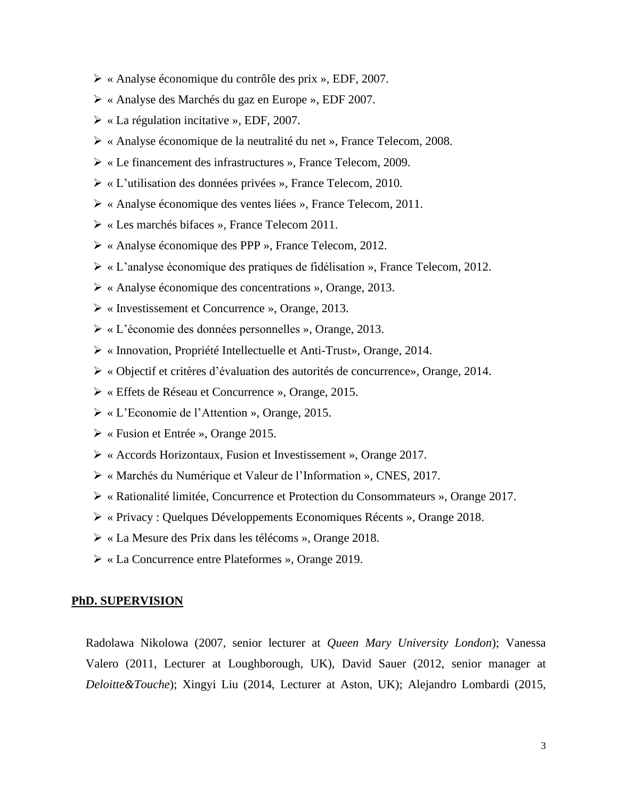- ➢ « Analyse économique du contrôle des prix », EDF, 2007.
- ➢ « Analyse des Marchés du gaz en Europe », EDF 2007.
- ➢ « La régulation incitative », EDF, 2007.
- ➢ « Analyse économique de la neutralité du net », France Telecom, 2008.
- ➢ « Le financement des infrastructures », France Telecom, 2009.
- ➢ « L'utilisation des données privées », France Telecom, 2010.
- ➢ « Analyse économique des ventes liées », France Telecom, 2011.
- ➢ « Les marchés bifaces », France Telecom 2011.
- ➢ « Analyse économique des PPP », France Telecom, 2012.
- ➢ « L'analyse économique des pratiques de fidélisation », France Telecom, 2012.
- ➢ « Analyse économique des concentrations », Orange, 2013.
- ➢ « Investissement et Concurrence », Orange, 2013.
- ➢ « L'économie des données personnelles », Orange, 2013.
- ➢ « Innovation, Propriété Intellectuelle et Anti-Trust», Orange, 2014.
- ➢ « Objectif et critères d'évaluation des autorités de concurrence», Orange, 2014.
- ➢ « Effets de Réseau et Concurrence », Orange, 2015.
- ➢ « L'Economie de l'Attention », Orange, 2015.
- ➢ « Fusion et Entrée », Orange 2015.
- ➢ « Accords Horizontaux, Fusion et Investissement », Orange 2017.
- ➢ « Marchés du Numérique et Valeur de l'Information », CNES, 2017.
- ➢ « Rationalité limitée, Concurrence et Protection du Consommateurs », Orange 2017.
- ➢ « Privacy : Quelques Développements Economiques Récents », Orange 2018.
- ➢ « La Mesure des Prix dans les télécoms », Orange 2018.
- ➢ « La Concurrence entre Plateformes », Orange 2019.

#### **PhD. SUPERVISION**

Radolawa Nikolowa (2007, senior lecturer at *Queen Mary University London*); Vanessa Valero (2011, Lecturer at Loughborough, UK), David Sauer (2012, senior manager at *Deloitte&Touche*); Xingyi Liu (2014, Lecturer at Aston, UK); Alejandro Lombardi (2015,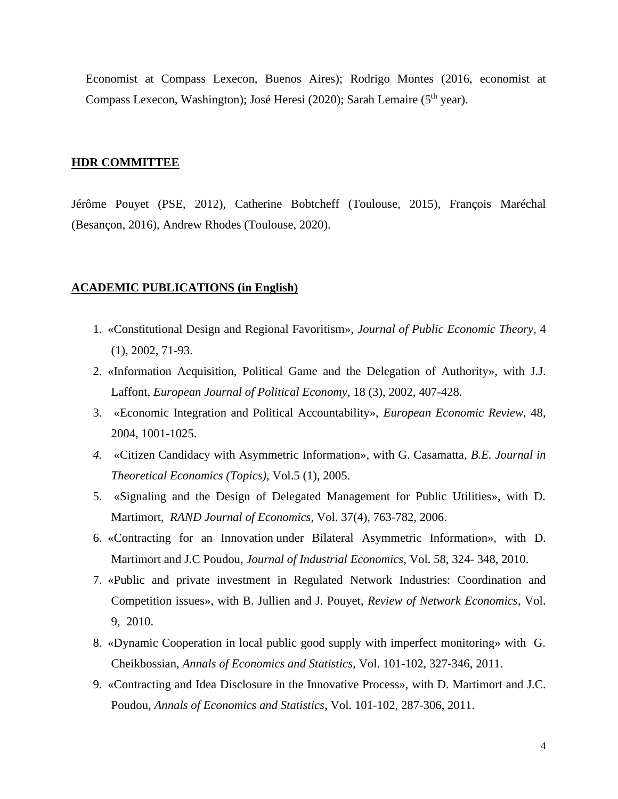Economist at Compass Lexecon, Buenos Aires); Rodrigo Montes (2016, economist at Compass Lexecon, Washington); José Heresi (2020); Sarah Lemaire (5<sup>th</sup> year).

#### **HDR COMMITTEE**

Jérôme Pouyet (PSE, 2012), Catherine Bobtcheff (Toulouse, 2015), François Maréchal (Besançon, 2016), Andrew Rhodes (Toulouse, 2020).

#### **ACADEMIC PUBLICATIONS (in English)**

- 1. «Constitutional Design and Regional Favoritism», *Journal of Public Economic Theory*, 4 (1), 2002, 71-93.
- 2. «Information Acquisition, Political Game and the Delegation of Authority», with J.J. Laffont, *European Journal of Political Economy*, 18 (3), 2002, 407-428.
- 3. «Economic Integration and Political Accountability», *European Economic Review*, 48, 2004, 1001-1025.
- *4.* «Citizen Candidacy with Asymmetric Information», with G. Casamatta, *B.E. Journal in Theoretical Economics (Topics),* Vol.5 (1), 2005.
- 5. «Signaling and the Design of Delegated Management for Public Utilities», with D. Martimort, *RAND Journal of Economics*, Vol. 37(4), 763-782, 2006.
- 6. «Contracting for an Innovation under Bilateral Asymmetric Information», with D. Martimort and J.C Poudou, *Journal of Industrial Economics*, Vol. 58, 324- 348, 2010.
- 7. «Public and private investment in Regulated Network Industries: Coordination and Competition issues», with B. Jullien and J. Pouyet, *Review of Network Economics*, Vol. 9, 2010.
- 8. «Dynamic Cooperation in local public good supply with imperfect monitoring» with G. Cheikbossian, *Annals of Economics and Statistics,* Vol. 101-102, 327-346, 2011.
- 9. «Contracting and Idea Disclosure in the Innovative Process», with D. Martimort and J.C. Poudou, *Annals of Economics and Statistics*, Vol. 101-102, 287-306, 2011.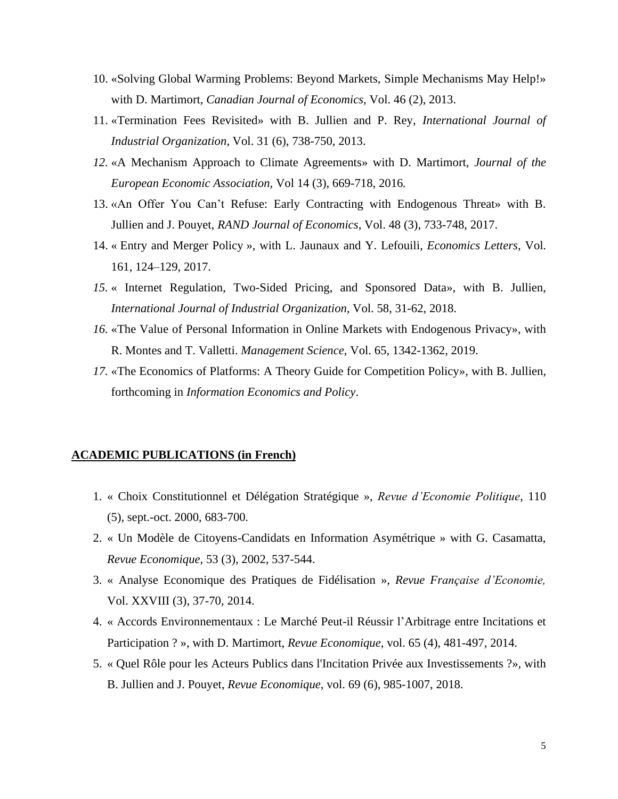- 10. «Solving Global Warming Problems: Beyond Markets, Simple Mechanisms May Help!» with D. Martimort, *Canadian Journal of Economics,* Vol. 46 (2), 2013.
- 11. «Termination Fees Revisited» with B. Jullien and P. Rey, *International Journal of Industrial Organization*, Vol. 31 (6), 738-750, 2013.
- *12.* «A Mechanism Approach to Climate Agreements» with D. Martimort, *Journal of the European Economic Association,* Vol 14 (3), 669-718, 2016*.*
- 13. «An Offer You Can't Refuse: Early Contracting with Endogenous Threat» with B. Jullien and J. Pouyet, *RAND Journal of Economics*, Vol. 48 (3), 733-748, 2017.
- 14. « Entry and Merger Policy », with L. Jaunaux and Y. Lefouili, *Economics Letters*, Vol. 161, 124–129, 2017.
- *15.* « Internet Regulation, Two-Sided Pricing, and Sponsored Data», with B. Jullien, *International Journal of Industrial Organization,* Vol. 58, 31-62, 2018.
- *16.* «The Value of Personal Information in Online Markets with Endogenous Privacy», with R. Montes and T. Valletti. *Management Science*, Vol. 65, 1342-1362, 2019.
- *17.* «The Economics of Platforms: A Theory Guide for Competition Policy», with B. Jullien, forthcoming in *Information Economics and Policy*.

### **ACADEMIC PUBLICATIONS (in French)**

- 1. « Choix Constitutionnel et Délégation Stratégique », *Revue d'Economie Politique*, 110 (5), sept.-oct. 2000, 683-700*.*
- 2. « Un Modèle de Citoyens-Candidats en Information Asymétrique » with G. Casamatta, *Revue Economique*, 53 (3), 2002, 537-544.
- 3. « Analyse Economique des Pratiques de Fidélisation », *Revue Française d'Economie,*  Vol. XXVIII (3), 37-70, 2014.
- 4. « Accords Environnementaux : Le Marché Peut-il Réussir l'Arbitrage entre Incitations et Participation ? », with D. Martimort, *Revue Economique,* vol. 65 (4), 481-497, 2014.
- 5. « Quel Rôle pour les Acteurs Publics dans l'Incitation Privée aux Investissements ?», with B. Jullien and J. Pouyet, *Revue Economique*, vol. 69 (6), 985-1007, 2018.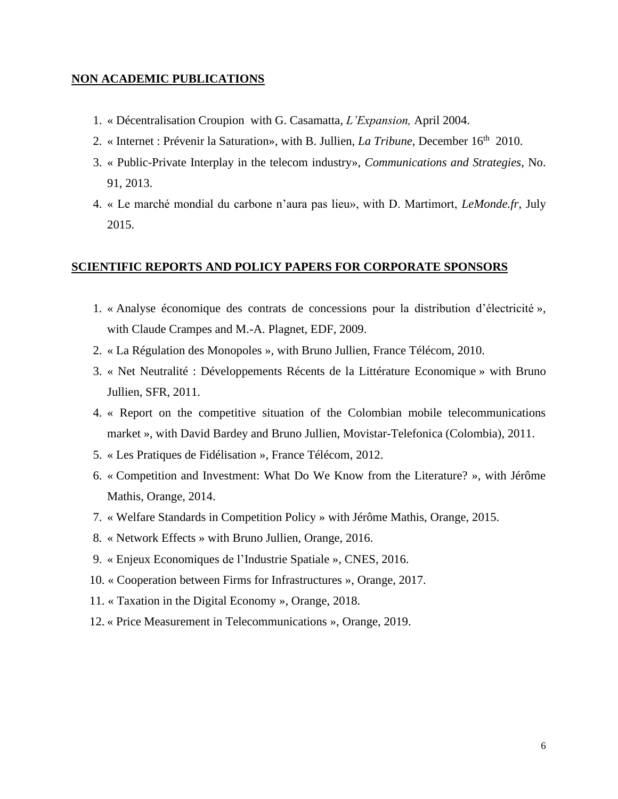### **NON ACADEMIC PUBLICATIONS**

- 1. « Décentralisation Croupion with G. Casamatta, *L'Expansion,* April 2004.
- 2. « Internet : Prévenir la Saturation», with B. Jullien, *La Tribune*, December 16<sup>th</sup> 2010.
- 3. « Public-Private Interplay in the telecom industry», *Communications and Strategies*, No. 91, 2013.
- 4. « Le marché mondial du carbone n'aura pas lieu», with D. Martimort, *LeMonde.fr*, July 2015.

#### **SCIENTIFIC REPORTS AND POLICY PAPERS FOR CORPORATE SPONSORS**

- 1. « Analyse économique des contrats de concessions pour la distribution d'électricité », with Claude Crampes and M.-A. Plagnet, EDF, 2009.
- 2. « La Régulation des Monopoles », with Bruno Jullien, France Télécom, 2010.
- 3. « Net Neutralité : Développements Récents de la Littérature Economique » with Bruno Jullien, SFR, 2011.
- 4. « Report on the competitive situation of the Colombian mobile telecommunications market », with David Bardey and Bruno Jullien, Movistar-Telefonica (Colombia), 2011.
- 5. « Les Pratiques de Fidélisation », France Télécom, 2012.
- 6. « Competition and Investment: What Do We Know from the Literature? », with Jérôme Mathis, Orange, 2014.
- 7. « Welfare Standards in Competition Policy » with Jérôme Mathis, Orange, 2015.
- 8. « Network Effects » with Bruno Jullien, Orange, 2016.
- 9. « Enjeux Economiques de l'Industrie Spatiale », CNES, 2016.
- 10. « Cooperation between Firms for Infrastructures », Orange, 2017.
- 11. « Taxation in the Digital Economy », Orange, 2018.
- 12. « Price Measurement in Telecommunications », Orange, 2019.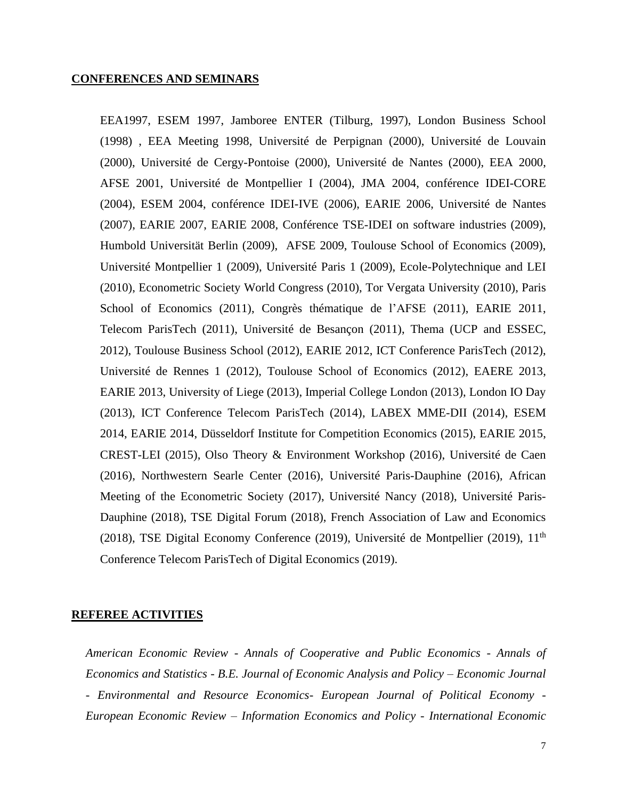#### **CONFERENCES AND SEMINARS**

EEA1997, ESEM 1997, Jamboree ENTER (Tilburg, 1997), London Business School (1998) , EEA Meeting 1998, Université de Perpignan (2000), Université de Louvain (2000), Université de Cergy-Pontoise (2000), Université de Nantes (2000), EEA 2000, AFSE 2001, Université de Montpellier I (2004), JMA 2004, conférence IDEI-CORE (2004), ESEM 2004, conférence IDEI-IVE (2006), EARIE 2006, Université de Nantes (2007), EARIE 2007, EARIE 2008, Conférence TSE-IDEI on software industries (2009), Humbold Universität Berlin (2009), AFSE 2009, Toulouse School of Economics (2009), Université Montpellier 1 (2009), Université Paris 1 (2009), Ecole-Polytechnique and LEI (2010), Econometric Society World Congress (2010), Tor Vergata University (2010), Paris School of Economics (2011), Congrès thématique de l'AFSE (2011), EARIE 2011, Telecom ParisTech (2011), Université de Besançon (2011), Thema (UCP and ESSEC, 2012), Toulouse Business School (2012), EARIE 2012, ICT Conference ParisTech (2012), Université de Rennes 1 (2012), Toulouse School of Economics (2012), EAERE 2013, EARIE 2013, University of Liege (2013), Imperial College London (2013), London IO Day (2013), ICT Conference Telecom ParisTech (2014), LABEX MME-DII (2014), ESEM 2014, EARIE 2014, Düsseldorf Institute for Competition Economics (2015), EARIE 2015, CREST-LEI (2015), Olso Theory & Environment Workshop (2016), Université de Caen (2016), Northwestern Searle Center (2016), Université Paris-Dauphine (2016), African Meeting of the Econometric Society (2017), Université Nancy (2018), Université Paris-Dauphine (2018), TSE Digital Forum (2018), French Association of Law and Economics (2018), TSE Digital Economy Conference (2019), Université de Montpellier (2019), 11<sup>th</sup> Conference Telecom ParisTech of Digital Economics (2019).

#### **REFEREE ACTIVITIES**

*American Economic Review - Annals of Cooperative and Public Economics - Annals of Economics and Statistics - B.E. Journal of Economic Analysis and Policy – Economic Journal - Environmental and Resource Economics- European Journal of Political Economy - European Economic Review – Information Economics and Policy - International Economic*